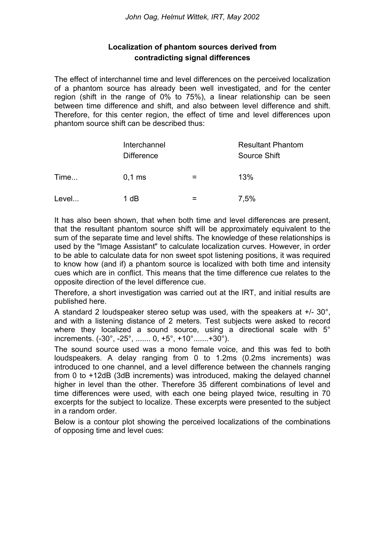## **Localization of phantom sources derived from contradicting signal differences**

The effect of interchannel time and level differences on the perceived localization of a phantom source has already been well investigated, and for the center region (shift in the range of 0% to 75%), a linear relationship can be seen between time difference and shift, and also between level difference and shift. Therefore, for this center region, the effect of time and level differences upon phantom source shift can be described thus:

|       | Interchannel<br><b>Difference</b> |   | <b>Resultant Phantom</b><br>Source Shift |
|-------|-----------------------------------|---|------------------------------------------|
| Time  | $0,1$ ms                          | = | 13%                                      |
| Level | 1 dB                              |   | 7,5%                                     |

It has also been shown, that when both time and level differences are present, that the resultant phantom source shift will be approximately equivalent to the sum of the separate time and level shifts. The knowledge of these relationships is used by the "Image Assistant" to calculate localization curves. However, in order to be able to calculate data for non sweet spot listening positions, it was required to know how (and if) a phantom source is localized with both time and intensity cues which are in conflict. This means that the time difference cue relates to the opposite direction of the level difference cue.

Therefore, a short investigation was carried out at the IRT, and initial results are published here.

A standard 2 loudspeaker stereo setup was used, with the speakers at +/- 30°, and with a listening distance of 2 meters. Test subjects were asked to record where they localized a sound source, using a directional scale with 5° increments. (-30°, -25°, ....... 0, +5°, +10°.......+30°).

The sound source used was a mono female voice, and this was fed to both loudspeakers. A delay ranging from 0 to 1.2ms (0.2ms increments) was introduced to one channel, and a level difference between the channels ranging from 0 to +12dB (3dB increments) was introduced, making the delayed channel higher in level than the other. Therefore 35 different combinations of level and time differences were used, with each one being played twice, resulting in 70 excerpts for the subject to localize. These excerpts were presented to the subject in a random order.

Below is a contour plot showing the perceived localizations of the combinations of opposing time and level cues: